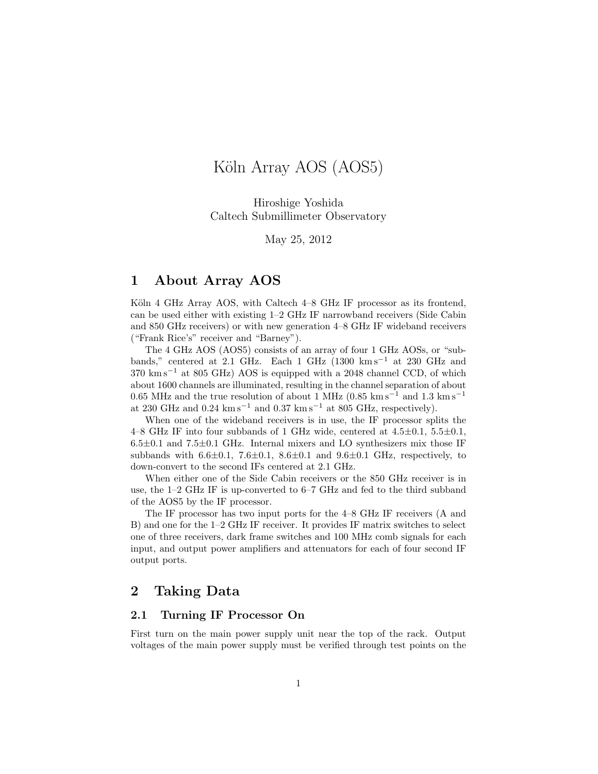# Köln Array AOS (AOS5)

Hiroshige Yoshida Caltech Submillimeter Observatory

May 25, 2012

# 1 About Array AOS

Köln 4 GHz Array AOS, with Caltech 4–8 GHz IF processor as its frontend, can be used either with existing 1–2 GHz IF narrowband receivers (Side Cabin and 850 GHz receivers) or with new generation 4–8 GHz IF wideband receivers ("Frank Rice's" receiver and "Barney").

The 4 GHz AOS (AOS5) consists of an array of four 1 GHz AOSs, or "subbands," centered at 2.1 GHz. Each 1 GHz (1300 km s<sup>−</sup><sup>1</sup> at 230 GHz and 370 km s<sup>−</sup><sup>1</sup> at 805 GHz) AOS is equipped with a 2048 channel CCD, of which about 1600 channels are illuminated, resulting in the channel separation of about 0.65 MHz and the true resolution of about 1 MHz (0.85 km s<sup>-1</sup> and 1.3 km s<sup>-1</sup> at 230 GHz and 0.24 km s<sup>-1</sup> and 0.37 km s<sup>-1</sup> at 805 GHz, respectively).

When one of the wideband receivers is in use, the IF processor splits the 4–8 GHz IF into four subbands of 1 GHz wide, centered at  $4.5\pm0.1$ ,  $5.5\pm0.1$ ,  $6.5\pm0.1$  and  $7.5\pm0.1$  GHz. Internal mixers and LO synthesizers mix those IF subbands with  $6.6\pm0.1$ ,  $7.6\pm0.1$ ,  $8.6\pm0.1$  and  $9.6\pm0.1$  GHz, respectively, to down-convert to the second IFs centered at 2.1 GHz.

When either one of the Side Cabin receivers or the 850 GHz receiver is in use, the 1–2 GHz IF is up-converted to 6–7 GHz and fed to the third subband of the AOS5 by the IF processor.

The IF processor has two input ports for the 4–8 GHz IF receivers (A and B) and one for the 1–2 GHz IF receiver. It provides IF matrix switches to select one of three receivers, dark frame switches and 100 MHz comb signals for each input, and output power amplifiers and attenuators for each of four second IF output ports.

# 2 Taking Data

### 2.1 Turning IF Processor On

First turn on the main power supply unit near the top of the rack. Output voltages of the main power supply must be verified through test points on the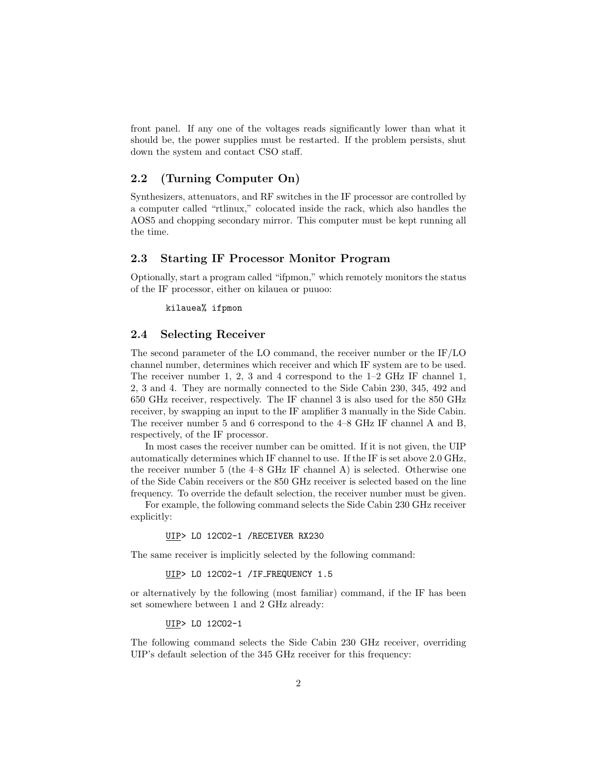front panel. If any one of the voltages reads significantly lower than what it should be, the power supplies must be restarted. If the problem persists, shut down the system and contact CSO staff.

#### 2.2 (Turning Computer On)

Synthesizers, attenuators, and RF switches in the IF processor are controlled by a computer called "rtlinux," colocated inside the rack, which also handles the AOS5 and chopping secondary mirror. This computer must be kept running all the time.

#### 2.3 Starting IF Processor Monitor Program

Optionally, start a program called "ifpmon," which remotely monitors the status of the IF processor, either on kilauea or puuoo:

kilauea% ifpmon

#### 2.4 Selecting Receiver

The second parameter of the LO command, the receiver number or the IF/LO channel number, determines which receiver and which IF system are to be used. The receiver number 1, 2, 3 and 4 correspond to the 1–2 GHz IF channel 1, 2, 3 and 4. They are normally connected to the Side Cabin 230, 345, 492 and 650 GHz receiver, respectively. The IF channel 3 is also used for the 850 GHz receiver, by swapping an input to the IF amplifier 3 manually in the Side Cabin. The receiver number 5 and 6 correspond to the 4–8 GHz IF channel A and B, respectively, of the IF processor.

In most cases the receiver number can be omitted. If it is not given, the UIP automatically determines which IF channel to use. If the IF is set above 2.0 GHz, the receiver number 5 (the 4–8 GHz IF channel A) is selected. Otherwise one of the Side Cabin receivers or the 850 GHz receiver is selected based on the line frequency. To override the default selection, the receiver number must be given.

For example, the following command selects the Side Cabin 230 GHz receiver explicitly:

UIP> LO 12CO2-1 /RECEIVER RX230

The same receiver is implicitly selected by the following command:

UIP> LO 12CO2-1 /IF FREQUENCY 1.5

or alternatively by the following (most familiar) command, if the IF has been set somewhere between 1 and 2 GHz already:

UIP> LO 12CO2-1

The following command selects the Side Cabin 230 GHz receiver, overriding UIP's default selection of the 345 GHz receiver for this frequency: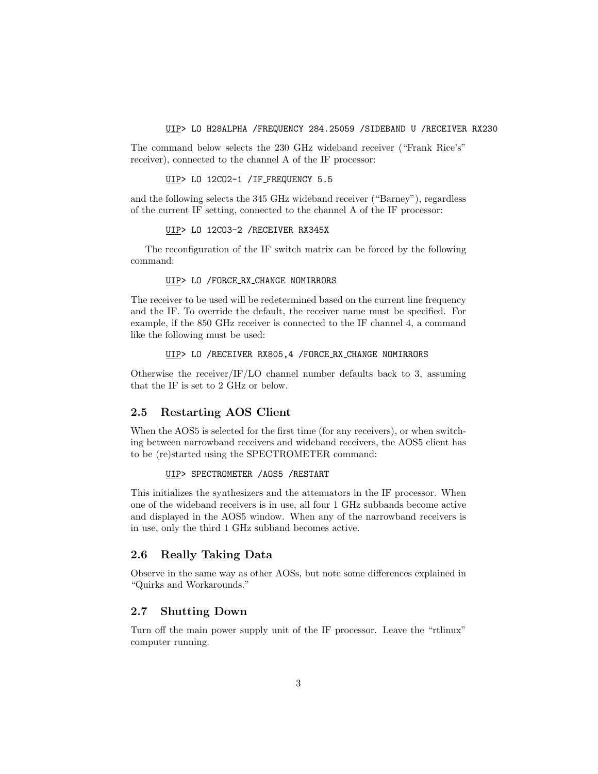UIP> LO H28ALPHA /FREQUENCY 284.25059 /SIDEBAND U /RECEIVER RX230

The command below selects the 230 GHz wideband receiver ("Frank Rice's" receiver), connected to the channel A of the IF processor:

UIP> LO 12CO2-1 /IF FREQUENCY 5.5

and the following selects the 345 GHz wideband receiver ("Barney"), regardless of the current IF setting, connected to the channel A of the IF processor:

UIP> LO 12CO3-2 /RECEIVER RX345X

The reconfiguration of the IF switch matrix can be forced by the following command:

UIP> LO /FORCE RX CHANGE NOMIRRORS

The receiver to be used will be redetermined based on the current line frequency and the IF. To override the default, the receiver name must be specified. For example, if the 850 GHz receiver is connected to the IF channel 4, a command like the following must be used:

UIP> LO /RECEIVER RX805,4 /FORCE RX CHANGE NOMIRRORS

Otherwise the receiver/IF/LO channel number defaults back to 3, assuming that the IF is set to 2 GHz or below.

#### 2.5 Restarting AOS Client

When the AOS5 is selected for the first time (for any receivers), or when switching between narrowband receivers and wideband receivers, the AOS5 client has to be (re)started using the SPECTROMETER command:

UIP> SPECTROMETER /AOS5 /RESTART

This initializes the synthesizers and the attenuators in the IF processor. When one of the wideband receivers is in use, all four 1 GHz subbands become active and displayed in the AOS5 window. When any of the narrowband receivers is in use, only the third 1 GHz subband becomes active.

#### 2.6 Really Taking Data

Observe in the same way as other AOSs, but note some differences explained in "Quirks and Workarounds."

### 2.7 Shutting Down

Turn off the main power supply unit of the IF processor. Leave the "rtlinux" computer running.